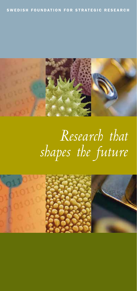

# *Research that shapes the future*

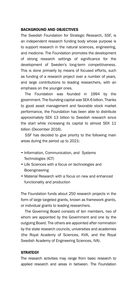#### BACKGROUND AND OBJECTIVES

The Swedish Foundation for Strategic Research, SSF, is an independent research funding body whose purpose is to support research in the natural sciences, engineering, and medicine. The Foundation promotes the development of strong research settings of significance for the development of Sweden's long-term competitiveness. This is done primarily by means of focused efforts, such as funding of a research project over a number of years, and large contributions to leading researchers, with an emphasis on the younger ones.

The Foundation was founded in 1994 by the government. The founding capital was SEK 6 billion. Thanks to good asset management and favorable stock market performance, the Foundation has been able to distribute approximately SEK 13 billion to Swedish research since the start while increasing its capital to almost SEK 11 billion (December 2016).

SSF has decided to give priority to the following main areas during the period up to 2021:

- Information, Communication, and Systems Technologies (ICT)
- Life Sciences with a focus on technologies and Bioengineering
- Material Research with a focus on new and enhanced functionality and production

The Foundation funds about 250 research projects in the form of large targeted grants, known as framework grants, or individual grants to leading researchers.

The Governing Board consists of ten members, two of whom are appointed by the Government and one by the outgoing Board. The others are appointed after nomination by the state research councils, universities and academies (the Royal Academy of Sciences, KVA, and the Royal Swedish Academy of Engineering Sciences, IVA).

## **STRATEGY**

The research activities may range from basic research to applied research and areas in between. The Foundation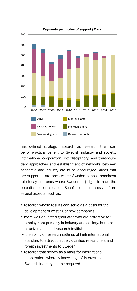

Payments per modes of support (Mkr)

has defined strategic research as research than can be of practical benefit to Swedish industry and society. International cooperation, interdisciplinary, and transboundary approaches and establishment of networks between academia and industry are to be encouraged. Areas that are supported are ones where Sweden plays a prominent role today and ones where Sweden is judged to have the potential to be a leader. Benefit can be assessed from several aspects, such as:

- research whose results can serve as a basis for the development of existing or new companies
- more well-educated graduates who are attractive for employment primarily in industry and society, but also at universities and research institutes
- the ability of research settings of high international standard to attract uniquely qualified researchers and foreign investments to Sweden
- research that serves as a basis for international cooperation, whereby knowledge of interest to Swedish industry can be acquired.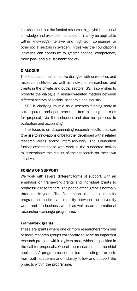It is assumed that the funded research might yield additional knowledge and expertise that could ultimately be applicable within knowledge-intensive and high-tech companies or other social sectors in Sweden. In this way the Foundation's initiatives can contribute to greater national competence, more jobs, and a sustainable society.

### DIALOGUE

The Foundation has an active dialogue with universities and research institutes as well as individual researchers and clients in the private and public sectors. SSF also wishes to promote the dialogue in research-related matters between different sectors of society, academia and industry.

SSF is clarifying its role as a research funding body in a transparent and open process – from planning and calls for proposals via the selection and decision process to evaluation and accounting.

The focus is on disseminating research results that can give rise to innovations or be further developed within related research areas and/or interdisciplinary. The Foundation further expects those who work in the supported activity to disseminate the results of their research on their own initiative.

# FORMS OF SUPPORT

We work with several different forms of support, with an emphasis on framework grants and individual grants to progressive researchers. The period of the grant is normally three to six years. The Foundation also has a mobility programme to stimulate mobility between the university world and the business world, as well as an international researcher exchange programme.

#### Framework grants

These are grants where one or more researchers from one or more research groups collaborate to solve an important research problem within a given area, which is specified in the call for proposals. One of the researchers is the chief applicant. A programme committee consisting of experts from both academia and industry follow and support the projects within the programme.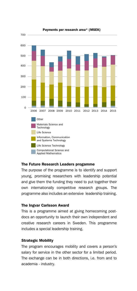

Payments per research area\* (MSEK)

#### The Future Research Leaders progamme

The purpose of the programme is to identify and support young, promising researchers with leadership potential and give them the funding they need to put together their own internationally competitive research groups. The programme also includes an extensive leadership training.

#### The Ingvar Carlsson Award

This is a programme aimed at giving homecoming postdocs an opportunity to launch their own independent and creative research careers in Sweden. This programme includes a special leadership training.

#### Strategic Mobility

The program encourages mobility and covers a person's salary for service in the other sector for a limited period. The exchange can be in both directions, i.e. from and to academia - industry.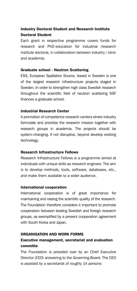# Industry Doctoral Student and Research Institute Doctoral Student

Each grant in respective programme covers funds for research and PhD-education for industrial /research institute doctoral, in collaboration between industry / clinic and academia.

## Graduate school - Neutron Scattering

ESS, European Spallation Source, based in Sweden is one of the largest research infrastructure projects staged in Sweden. In order to strengthen high class Swedish research throughout the scientific field of neutron scattering SSF finances a graduate school.

## Industrial Research Center

A promotion of competence research centers where industry formulate and prioritize the research mission together with research groups in academia. The projects should be system-changing, if not disruptive, beyond develop existing technology.

## Research Infrastructure Fellows

Research Infrastructure Fellows is a programme aimed at individuals with unique skills as research engineer. The aim is to develop methods, tools, software, databases, etc., and make them available to a wider audience.

#### International cooperation

International cooperation is of great importance for maintaining and raising the scientific quality of the research. The Foundation therefore considers it important to promote cooperation between leading Swedish and foreign research groups, as exemplified by a present cooperation agreement with South Korea and Japan.

#### ORGANISATION AND WORK FORMS

# Executive management, secretariat and evaluation committe

The Foundation is presided over by an Chief Executive Director (CEO) answering to the Governing Board. The CEO is assisted by a secretariat of roughly 14 persons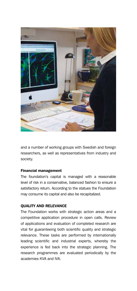

and a number of working groups with Swedish and foreign researchers, as well as representatives from industry and society.

# Financial management

The foundation's capital is managed with a reasonable level of risk in a conservative, balanced fashion to ensure a satisfactory return. According to the statues the Foundation may consume its capital and also be recapitalized.

# QUALITY AND RELEVANCE

The Foundation works with strategic action areas and a competitive application procedure in open calls. Review of applications and evaluation of completed research are vital for guaranteeing both scientific quality and strategic relevance. These tasks are performed by internationally leading scientific and industrial experts, whereby the experience is fed back into the strategic planning. The research programmes are evaluated periodically by the academies KVA and IVA.